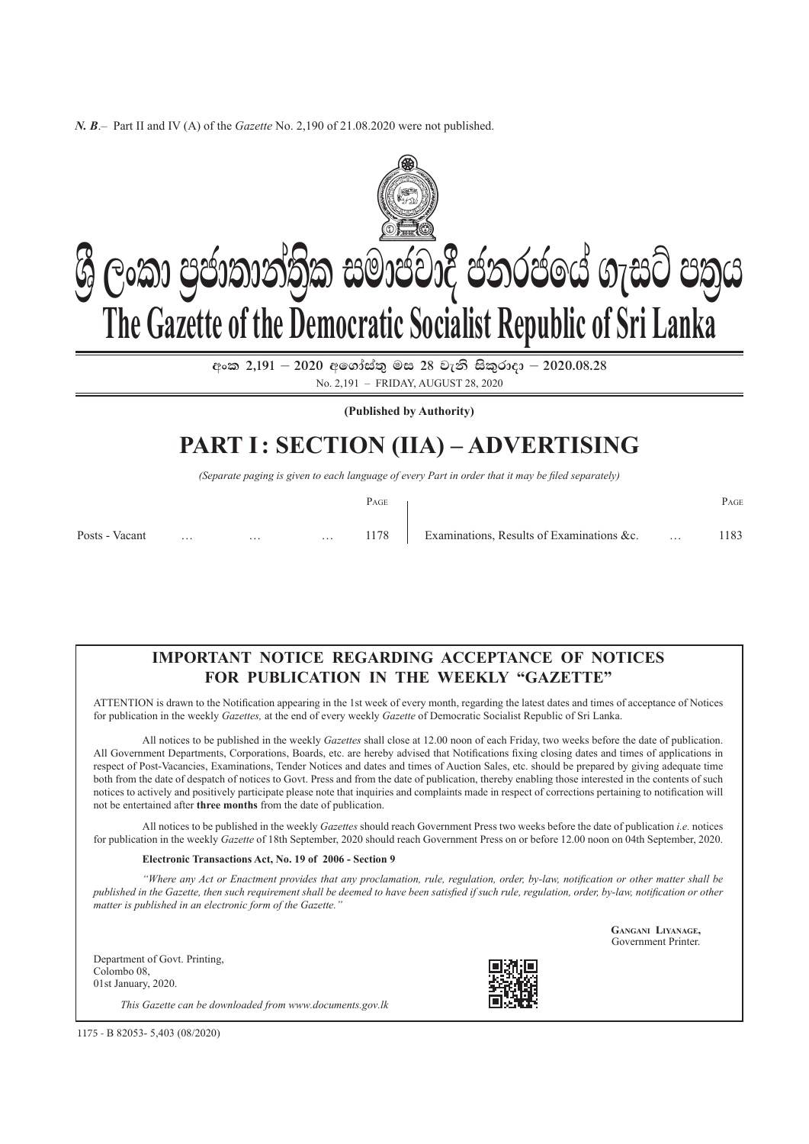*N. B*.– Part II and IV (A) of the *Gazette* No. 2,190 of 21.08.2020 were not published.



 $\cos 2.191 - 2020$  අගෝස්තු මස 28 වැනි සිකුරාදා – 2020.08.28 No. 2,191 – friday, august 28, 2020

**(Published by Authority)**

# **PART I: SECTION (IIA) – Advertising**

*(Separate paging is given to each language of every Part in order that it may be filed separately)*

|                |          |                      |          | PAGE |                                                | PAGE |
|----------------|----------|----------------------|----------|------|------------------------------------------------|------|
| Posts - Vacant | $\cdots$ | and the state of the | $\cdots$ |      | 1178 Examinations, Results of Examinations &c. | 1183 |

### **Important Notice Regarding Acceptance of Notices For Publication in the Weekly "Gazette"**

ATTENTION is drawn to the Notification appearing in the 1st week of every month, regarding the latest dates and times of acceptance of Notices for publication in the weekly *Gazettes,* at the end of every weekly *Gazette* of Democratic Socialist Republic of Sri Lanka.

All notices to be published in the weekly *Gazettes* shall close at 12.00 noon of each Friday, two weeks before the date of publication. All Government Departments, corporations, Boards, etc. are hereby advised that Notifications fixing closing dates and times of applications in respect of Post-Vacancies, Examinations, Tender Notices and dates and times of Auction Sales, etc. should be prepared by giving adequate time both from the date of despatch of notices to Govt. Press and from the date of publication, thereby enabling those interested in the contents of such notices to actively and positively participate please note that inquiries and complaints made in respect of corrections pertaining to notification will not be entertained after **three months** from the date of publication.

All notices to be published in the weekly *Gazettes* should reach Government Press two weeks before the date of publication *i.e.* notices for publication in the weekly *Gazette* of 18th September, 2020 should reach Government Press on or before 12.00 noon on 04th September, 2020.

#### **Electronic Transactions Act, No. 19 of 2006 - Section 9**

*"Where any Act or enactment provides that any proclamation, rule, regulation, order, by-law, notification or other matter shall be published in the Gazette, then such requirement shall be deemed to have been satisfied if such rule, regulation, order, by-law, notification or other matter is published in an electronic form of the Gazette."*

Department of Govt. Printing, Colombo 08, 01st January, 2020.





**Gangani Liyanage,** Government Printer.

1175 - B 82053- 5,403 (08/2020)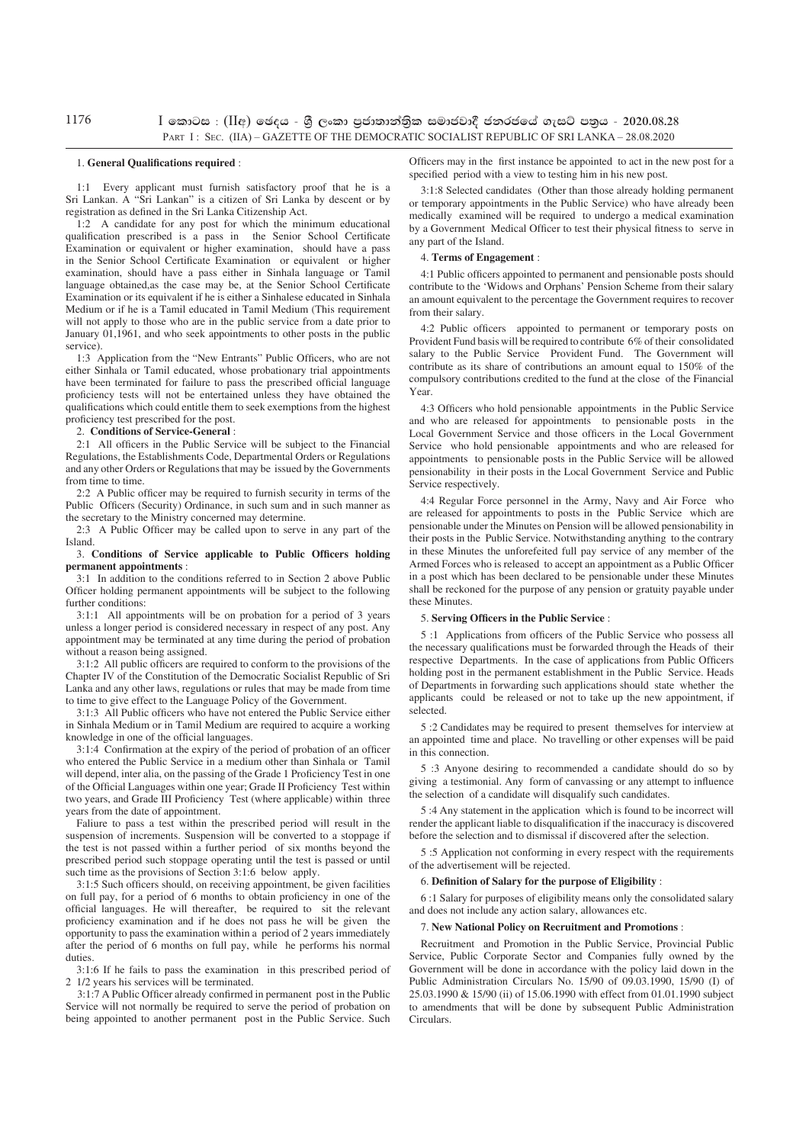1176

 $\,$   $\,$  | කොටස $\,$  :  $\,$  (IIඅ) ඡෙදය - ශූී ලංකා පුජාතාන්තික සමාජවාදී ජනරජයේ ගැසට් පතුය - 2020.08.28 PART I : SEC. (IIA) – GAZETTE OF THE DEMOCRATIC SOCIALIST REPUBLIC OF SRI LANKA – 28.08.2020

#### 1. **General Qualifications required** :

1:1 Every applicant must furnish satisfactory proof that he is a Sri Lankan. A "Sri Lankan" is a citizen of Sri Lanka by descent or by registration as defined in the Sri Lanka Citizenship Act.

1:2 A candidate for any post for which the minimum educational qualification prescribed is a pass in the Senior School Certificate Examination or equivalent or higher examination, should have a pass in the Senior School Certificate Examination or equivalent or higher examination, should have a pass either in Sinhala language or Tamil language obtained,as the case may be, at the Senior School Certificate Examination or its equivalent if he is either a Sinhalese educated in Sinhala Medium or if he is a Tamil educated in Tamil Medium (This requirement will not apply to those who are in the public service from a date prior to January 01,1961, and who seek appointments to other posts in the public service).

1:3 Application from the "New Entrants" Public Officers, who are not either Sinhala or Tamil educated, whose probationary trial appointments have been terminated for failure to pass the prescribed official language proficiency tests will not be entertained unless they have obtained the qualifications which could entitle them to seek exemptions from the highest proficiency test prescribed for the post.

#### 2. **Conditions of Service-General** :

2:1 All officers in the Public Service will be subject to the Financial Regulations, the Establishments Code, Departmental Orders or Regulations and any other Orders or Regulations that may be issued by the Governments from time to time.

2:2 A Public officer may be required to furnish security in terms of the Public Officers (Security) Ordinance, in such sum and in such manner as the secretary to the Ministry concerned may determine.

2:3 A Public Officer may be called upon to serve in any part of the Island.

#### 3. **Conditions of Service applicable to Public Officers holding permanent appointments** :

3:1 In addition to the conditions referred to in Section 2 above Public Officer holding permanent appointments will be subject to the following further conditions:

3:1:1 All appointments will be on probation for a period of 3 years unless a longer period is considered necessary in respect of any post. Any appointment may be terminated at any time during the period of probation without a reason being assigned.

3:1:2 All public officers are required to conform to the provisions of the Chapter IV of the Constitution of the Democratic Socialist Republic of Sri Lanka and any other laws, regulations or rules that may be made from time to time to give effect to the Language Policy of the Government.

3:1:3 All Public officers who have not entered the Public Service either in Sinhala Medium or in Tamil Medium are required to acquire a working knowledge in one of the official languages.

3:1:4 Confirmation at the expiry of the period of probation of an officer who entered the Public Service in a medium other than Sinhala or Tamil will depend, inter alia, on the passing of the Grade 1 Proficiency Test in one of the Official Languages within one year; Grade II Proficiency Test within two years, and Grade III Proficiency Test (where applicable) within three years from the date of appointment.

Faliure to pass a test within the prescribed period will result in the suspension of increments. Suspension will be converted to a stoppage if the test is not passed within a further period of six months beyond the prescribed period such stoppage operating until the test is passed or until such time as the provisions of Section 3:1:6 below apply.

3:1:5 Such officers should, on receiving appointment, be given facilities on full pay, for a period of 6 months to obtain proficiency in one of the official languages. He will thereafter, be required to sit the relevant proficiency examination and if he does not pass he will be given the opportunity to pass the examination within a period of 2 years immediately after the period of 6 months on full pay, while he performs his normal duties.

3:1:6 If he fails to pass the examination in this prescribed period of 2 1/2 years his services will be terminated.

3:1:7 A Public Officer already confirmed in permanent post in the Public Service will not normally be required to serve the period of probation on being appointed to another permanent post in the Public Service. Such Officers may in the first instance be appointed to act in the new post for a specified period with a view to testing him in his new post.

3:1:8 Selected candidates (Other than those already holding permanent or temporary appointments in the Public Service) who have already been medically examined will be required to undergo a medical examination by a Government Medical Officer to test their physical fitness to serve in any part of the Island.

#### 4. **Terms of Engagement** :

4:1 Public officers appointed to permanent and pensionable posts should contribute to the 'Widows and Orphans' Pension Scheme from their salary an amount equivalent to the percentage the Government requires to recover from their salary.

4:2 Public officers appointed to permanent or temporary posts on Provident Fund basis will be required to contribute 6% of their consolidated salary to the Public Service Provident Fund. The Government will contribute as its share of contributions an amount equal to 150% of the compulsory contributions credited to the fund at the close of the Financial Year.

4:3 Officers who hold pensionable appointments in the Public Service and who are released for appointments to pensionable posts in the Local Government Service and those officers in the Local Government Service who hold pensionable appointments and who are released for appointments to pensionable posts in the Public Service will be allowed pensionability in their posts in the Local Government Service and Public Service respectively.

4:4 Regular Force personnel in the Army, Navy and Air Force who are released for appointments to posts in the Public Service which are pensionable under the Minutes on Pension will be allowed pensionability in their posts in the Public Service. Notwithstanding anything to the contrary in these Minutes the unforefeited full pay service of any member of the Armed Forces who is released to accept an appointment as a Public Officer in a post which has been declared to be pensionable under these Minutes shall be reckoned for the purpose of any pension or gratuity payable under these Minutes

#### 5. **Serving Officers in the Public Service** :

5 :1 Applications from officers of the Public Service who possess all the necessary qualifications must be forwarded through the Heads of their respective Departments. In the case of applications from Public Officers holding post in the permanent establishment in the Public Service. Heads of Departments in forwarding such applications should state whether the applicants could be released or not to take up the new appointment, if selected.

5 :2 Candidates may be required to present themselves for interview at an appointed time and place. No travelling or other expenses will be paid in this connection.

5 :3 Anyone desiring to recommended a candidate should do so by giving a testimonial. Any form of canvassing or any attempt to influence the selection of a candidate will disqualify such candidates.

5 :4 Any statement in the application which is found to be incorrect will render the applicant liable to disqualification if the inaccuracy is discovered before the selection and to dismissal if discovered after the selection.

5 :5 Application not conforming in every respect with the requirements of the advertisement will be rejected.

#### 6. **Definition of Salary for the purpose of Eligibility** :

6 :1 Salary for purposes of eligibility means only the consolidated salary and does not include any action salary, allowances etc.

#### 7. **New National Policy on Recruitment and Promotions** :

Recruitment and Promotion in the Public Service, Provincial Public Service, Public Corporate Sector and Companies fully owned by the Government will be done in accordance with the policy laid down in the Public Administration Circulars No. 15/90 of 09.03.1990, 15/90 (I) of 25.03.1990 & 15/90 (ii) of 15.06.1990 with effect from 01.01.1990 subject to amendments that will be done by subsequent Public Administration Circulars.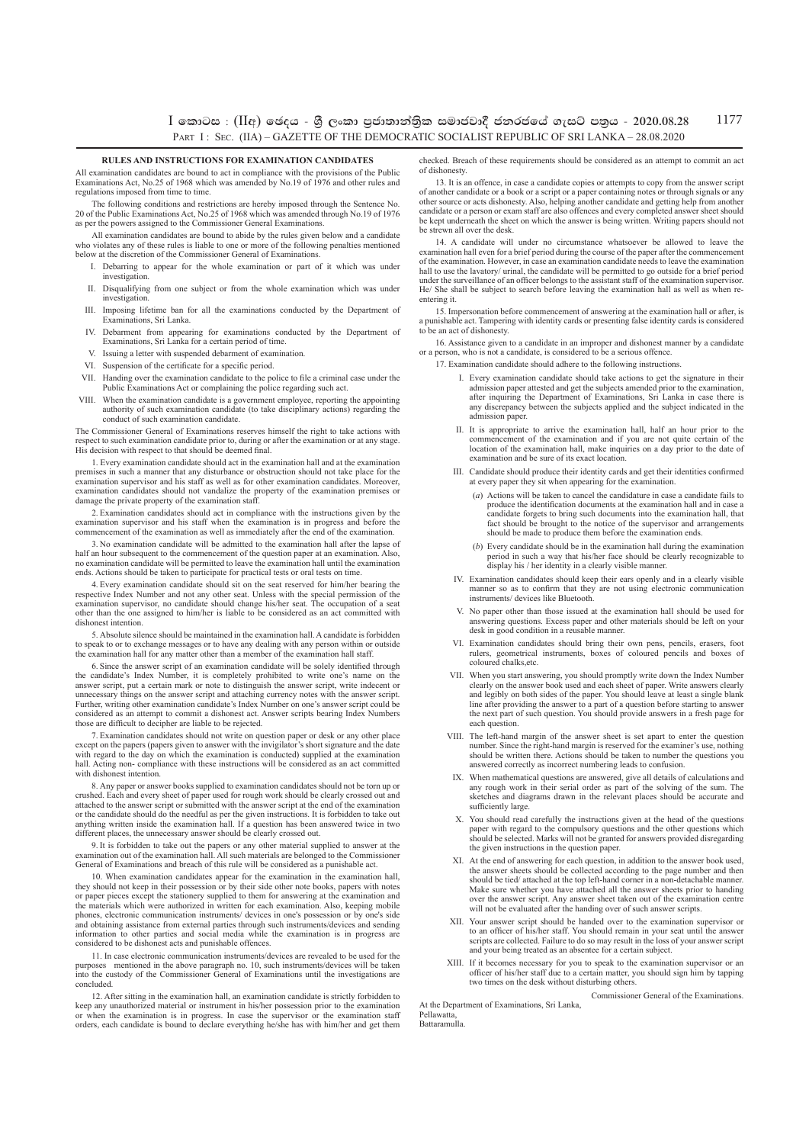$\,$ I කොටස : (IIඅ) ඡෙදය - ශී ලංකා පුජාතාන්තික සමාජවාදී ජනරජයේ ගැසට් පතුය - 2020.08.28 PART I : SEC. (IIA) – GAZETTE OF THE DEMOCRATIC SOCIALIST REPUBLIC OF SRI LANKA – 28.08.2020 1177

#### **Rules and Instructions for Examination Candidates**

All examination candidates are bound to act in compliance with the provisions of the Public Examinations Act, No.25 of 1968 which was amended by No.19 of 1976 and other rules and regulations imposed from time to time.

The following conditions and restrictions are hereby imposed through the Sentence No. 20 of the Public Examinations Act, No.25 of 1968 which was amended through No.19 of 1976 as per the powers assigned to the Commissioner General Examinations.

All examination candidates are bound to abide by the rules given below and a candidate who violates any of these rules is liable to one or more of the following penalties mentioned below at the discretion of the Commissioner General of Examinations.

- I. Debarring to appear for the whole examination or part of it which was under investigation.
- II. Disqualifying from one subject or from the whole examination which was under investigation.
- III. Imposing lifetime ban for all the examinations conducted by the Department of Examinations, Sri Lanka.
- IV. Debarment from appearing for examinations conducted by the Department of Examinations, Sri Lanka for a certain period of time.
- V. Issuing a letter with suspended debarment of examination.
- VI. Suspension of the certificate for a specific period.
- VII. Handing over the examination candidate to the police to file a criminal case under the Public Examinations Act or complaining the police regarding such act.
- VIII. When the examination candidate is a government employee, reporting the appointing authority of such examination candidate (to take disciplinary actions) regarding the conduct of such examination candidate.

The Commissioner General of Examinations reserves himself the right to take actions with ect to such examination candidate prior to, during or after the examination or at any stage. His decision with respect to that should be deemed final.

1. Every examination candidate should act in the examination hall and at the examination premises in such a manner that any disturbance or obstruction should not take place for the examination supervisor and his staff as well as for other examination candidates. Moreover, examination candidates should not vandalize the property of the examination premises or damage the private property of the examination staff.

2. Examination candidates should act in compliance with the instructions given by the examination supervisor and his staff when the examination is in progress and before the commencement of the examination as well as immediately after the end of the examination.

3. No examination candidate will be admitted to the examination hall after the lapse of half an hour subsequent to the commencement of the question paper at an examination. Also, examination candidate will be permitted to leave the examination hall until the examination ends. Actions should be taken to participate for practical tests or oral tests on time.

4. Every examination candidate should sit on the seat reserved for him/her bearing the respective Index Number and not any other seat. Unless with the special permission of the examination supervisor, no candidate should change his/her seat. The occupation of a seat other than the one assigned to him/her is liable to be considered as an act committed with dishonest intention.

5. Absolute silence should be maintained in the examination hall. A candidate is forbidden to speak to or to exchange messages or to have any dealing with any person within or outside the examination hall for any matter other than a member of the examination hall staff.

6. Since the answer script of an examination candidate will be solely identified through the candidate's Index Number, it is completely prohibited to write one's name on the answer script, put a certain mark or note to distinguish the answer script, write indecent or unnecessary things on the answer script and attaching currency notes with the answer script. Further, writing other examination candidate's Index Number on one's answer script could be considered as an attempt to commit a dishonest act. Answer scripts bearing Index Numbers those are difficult to decipher are liable to be rejected.

7. Examination candidates should not write on question paper or desk or any other place except on the papers (papers given to answer with the invigilator's short signature and the date with regard to the day on which the examination is conducted) supplied at the examination hall. Acting non- compliance with these instructions will be considered as an act committed with dishonest intention.

8. Any paper or answer books supplied to examination candidates should not be torn up or crushed. Each and every sheet of paper used for rough work should be clearly crossed out and attached to the answer script or submitted with the answer script at the end of the examination or the candidate should do the needful as per the given instructions. It is forbidden to take out anything written inside the examination hall. If a question has been answered twice in two different places, the unnecessary answer should be clearly crossed out.

9. It is forbidden to take out the papers or any other material supplied to answer at the examination out of the examination hall. All such materials are belonged to the Commissioner General of Examinations and breach of this rule will be considered as a punishable act.

10. When examination candidates appear for the examination in the examination hall, they should not keep in their possession or by their side other note books, papers with notes or paper pieces except the stationery supplied to them for answering at the examination and the materials which were authorized in written for each examination. Also, keeping mobile phones, electronic communication instruments/ devices in one's possession or by one's side and obtaining assistance from external parties through such instruments/devices and sending information to other parties and social media while the examination is in progress are considered to be dishonest acts and punishable offences.

11. In case electronic communication instruments/devices are revealed to be used for the purposes mentioned in the above paragraph no. 10, such instruments/devices will be taken into the custody of the Commissioner General of Examinations until the investigations are concluded.

12. After sitting in the examination hall, an examination candidate is strictly forbidden to keep any unauthorized material or instrument in his/her possession prior to the examination or when the examination is in progress. In case the supervisor or the examination staff orders, each candidate is bound to declare everything he/she has with him/her and get them checked. Breach of these requirements should be considered as an attempt to commit an act of dishonesty.

13. It is an offence, in case a candidate copies or attempts to copy from the answer script of another candidate or a book or a script or a paper containing notes or through signals or any other source or acts dishonesty. Also, helping another candidate and getting help from another candidate or a person or exam staff are also offences and every completed answer sheet should be kept underneath the sheet on which the answer is being written. Writing papers should not be strewn all over the desk.

14. A candidate will under no circumstance whatsoever be allowed to leave the examination hall even for a brief period during the course of the paper after the commencement of the examination. However, in case an examination candidate needs to leave the examination hall to use the lavatory/ urinal, the candidate will be permitted to go outside for a brief period under the surveillance of an officer belongs to the assistant staff of the examination supervisor. He/ She shall be subject to search before leaving the examination hall as well as when reentering it.

15. Impersonation before commencement of answering at the examination hall or after, is a punishable act. Tampering with identity cards or presenting false identity cards is considered to be an act of dishonesty.

16. Assistance given to a candidate in an improper and dishonest manner by a candidate or a person, who is not a candidate, is considered to be a serious offence.

17. Examination candidate should adhere to the following instructions.

- I. Every examination candidate should take actions to get the signature in their admission paper attested and get the subjects amended prior to the examination, after inquiring the Department of Examinations, Sri Lanka in case there is any discrepancy between the subjects applied and the subject indicated in the admission paper.
- II. It is appropriate to arrive the examination hall, half an hour prior to the commencement of the examination and if you are not quite certain of the location of the examination hall, make inquiries on a day prior to the date of examination and be sure of its exact location.
- III. Candidate should produce their identity cards and get their identities confirmed at every paper they sit when appearing for the examination.
	- (*a*) Actions will be taken to cancel the candidature in case a candidate fails to produce the identification documents at the examination hall and in case a candidate forgets to bring such documents into the examination hall, that fact should be brought to the notice of the supervisor and arrangements should be made to produce them before the examination ends.
	- (*b*) Every candidate should be in the examination hall during the examination period in such a way that his/her face should be clearly recognizable to display his / her identity in a clearly visible manner.
- IV. Examination candidates should keep their ears openly and in a clearly visible manner so as to confirm that they are not using electronic communication instruments/ devices like Bluetooth.
- V. No paper other than those issued at the examination hall should be used for ering questions. Excess paper and other materials should be left on your desk in good condition in a reusable manner.
- VI. Examination candidates should bring their own pens, pencils, erasers, foot rulers, geometrical instruments, boxes of coloured pencils and boxes of coloured chalks,etc.
- VII. When you start answering, you should promptly write down the Index Number clearly on the answer book used and each sheet of paper. Write answers clearly and legibly on both sides of the paper. You should leave at least a single blank line after providing the answer to a part of a question before starting to answer the next part of such question. You should provide answers in a fresh page for each question.
- VIII. The left-hand margin of the answer sheet is set apart to enter the question number. Since the right-hand margin is reserved for the examiner's use, nothing should be written there. Actions should be taken to number the questions you answered correctly as incorrect numbering leads to confusion.
- IX. When mathematical questions are answered, give all details of calculations and any rough work in their serial order as part of the solving of the sum. The sketches and diagrams drawn in the relevant places should be accurate and sufficiently large.
- X. You should read carefully the instructions given at the head of the questions paper with regard to the compulsory questions and the other questions which should be selected. Marks will not be granted for answers provided disregarding the given instructions in the question paper.
- XI. At the end of answering for each question, in addition to the answer book used, the answer sheets should be collected according to the page number and then should be tied/ attached at the top left-hand corner in a non-detachable manner. Make sure whether you have attached all the answer sheets prior to handing over the answer script. Any answer sheet taken out of the examination centre will not be evaluated after the handing over of such answer scripts.
- XII. Your answer script should be handed over to the examination supervisor or to an officer of his/her staff. You should remain in your seat until the answer scripts are collected. Failure to do so may result in the loss of your answer script and your being treated as an absentee for a certain subject.
- XIII. If it becomes necessary for you to speak to the examination supervisor or an officer of his/her staff due to a certain matter, you should sign him by tapping two times on the desk without disturbing others.

Commissioner General of the Examinations.

At the Department of Examinations, Sri Lanka, Pellawatta, Battaramulla.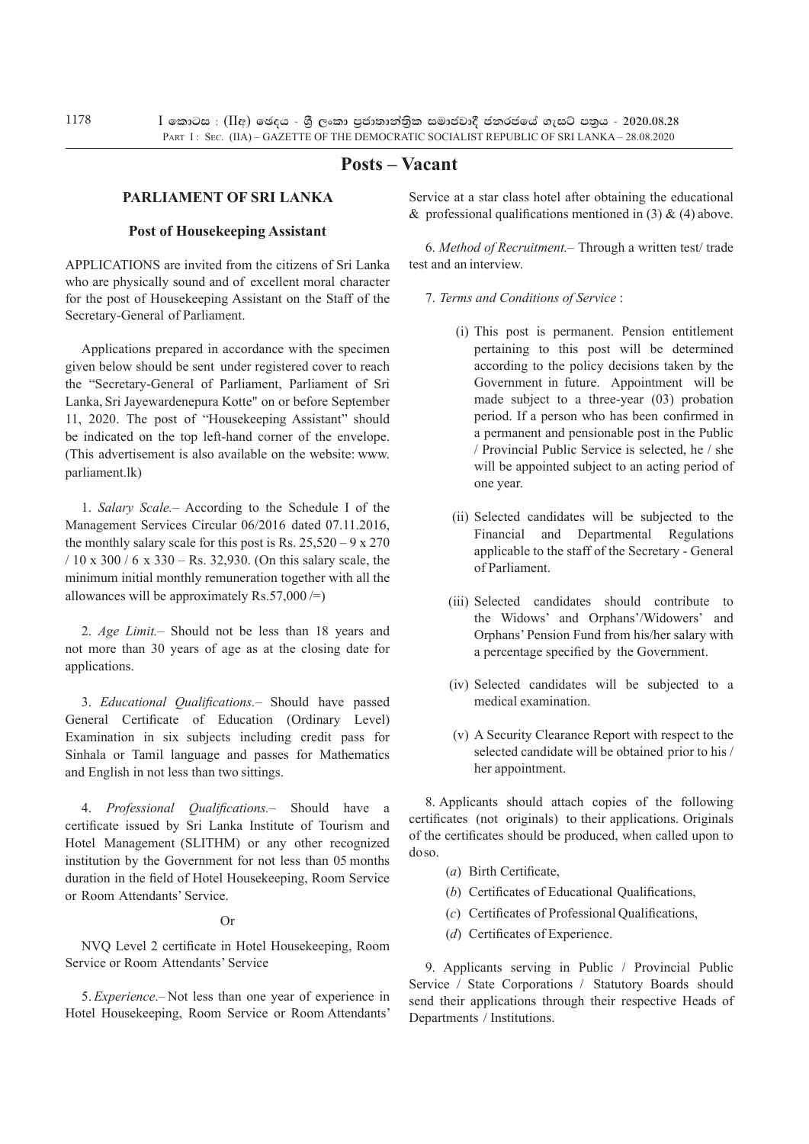# **Posts – Vacant**

### **Parliament of Sri Lanka**

#### **Post of Housekeeping Assistant**

Applications are invited from the citizens of Sri Lanka who are physically sound and of excellent moral character for the post of Housekeeping Assistant on the Staff of the Secretary-General of Parliament.

Applications prepared in accordance with the specimen given below should be sent under registered cover to reach the "Secretary-General of Parliament, Parliament of Sri Lanka, Sri Jayewardenepura Kotte" on or before September 11, 2020. The post of "Housekeeping Assistant" should be indicated on the top left-hand corner of the envelope. (This advertisement is also available on the website: www. parliament.lk)

1. *Salary Scale.*– According to the Schedule I of the Management Services Circular 06/2016 dated 07.11.2016, the monthly salary scale for this post is Rs.  $25,520 - 9 \times 270$ / 10 x 300 / 6 x 330 – Rs. 32,930. (On this salary scale, the minimum initial monthly remuneration together with all the allowances will be approximately  $\text{Rs.}57,000 =$ )

2. *Age Limit.*– Should not be less than 18 years and not more than 30 years of age as at the closing date for applications.

3. *Educational Qualifications.*– Should have passed General Certificate of Education (Ordinary Level) Examination in six subjects including credit pass for Sinhala or Tamil language and passes for Mathematics and English in not less than two sittings.

4. *Professional Qualifications.–* Should have a certificate issued by Sri Lanka Institute of Tourism and Hotel Management (SLITHM) or any other recognized institution by the Government for not less than 05 months duration in the field of Hotel Housekeeping, Room Service or Room Attendants' Service.

### Or

NVQ Level 2 certificate in Hotel Housekeeping, Room Service or Room Attendants' Service

5. *Experience*.– Not less than one year of experience in Hotel Housekeeping, Room Service or Room Attendants'

Service at a star class hotel after obtaining the educational & professional qualifications mentioned in (3) & (4) above.

6. *Method of Recruitment.–* Through a written test/ trade test and an interview.

- 7. *Terms and Conditions of Service* :
	- (i) This post is permanent. Pension entitlement pertaining to this post will be determined according to the policy decisions taken by the Government in future. Appointment will be made subject to a three-year (03) probation period. If a person who has been confirmed in a permanent and pensionable post in the Public / Provincial Public Service is selected, he / she will be appointed subject to an acting period of one year.
	- (ii) Selected candidates will be subjected to the Financial and Departmental Regulations applicable to the staff of the Secretary - General of Parliament.
	- (iii) Selected candidates should contribute to the Widows' and Orphans'/Widowers' and Orphans' Pension Fund from his/her salary with a percentage specified by the Government.
	- (iv) Selected candidates will be subjected to a medical examination.
	- (v) A Security Clearance Report with respect to the selected candidate will be obtained prior to his / her appointment.

8. Applicants should attach copies of the following certificates (not originals) to their applications. Originals of the certificates should be produced, when called upon to do so.

- (*a*) Birth Certificate,
- (*b*) Certificates of Educational Qualifications,
- (*c*) Certificates of Professional Qualifications,
- (*d*) Certificates of Experience.

9. Applicants serving in Public / Provincial Public Service / State Corporations / Statutory Boards should send their applications through their respective Heads of Departments / Institutions.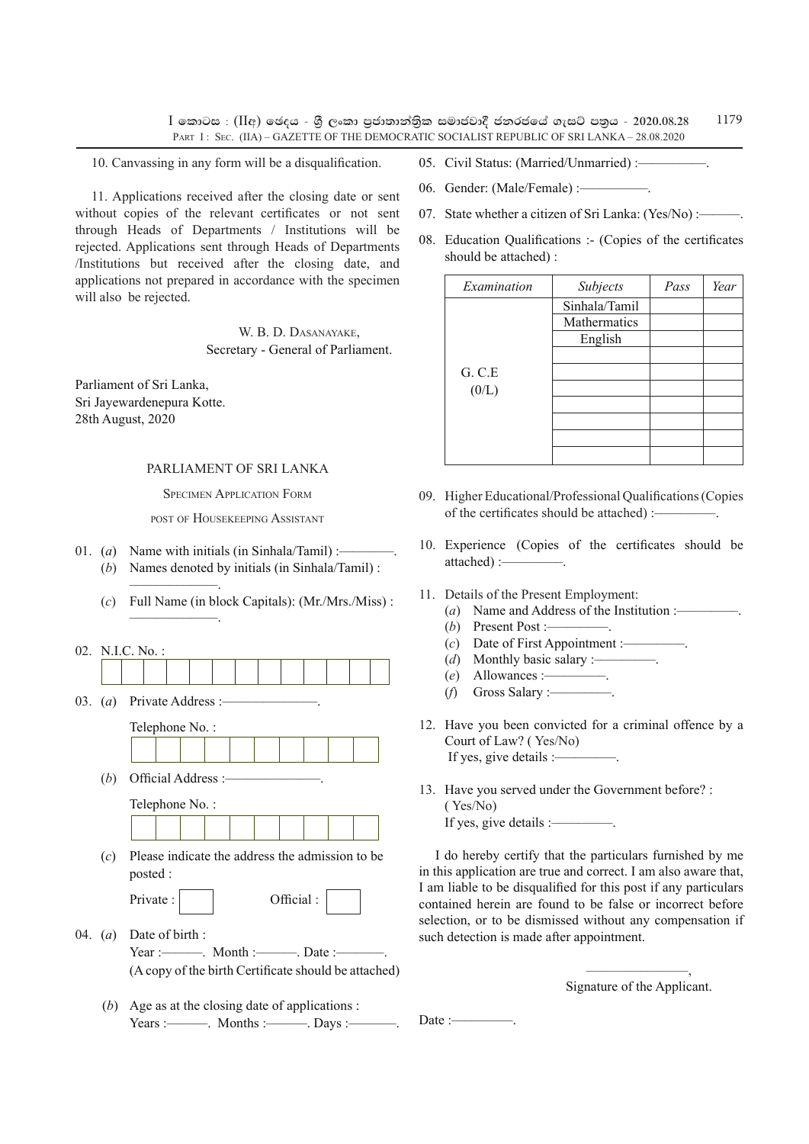$I$  කොටස : ( $II$ අ) ඡෙදය - ශීූ ලංකා පුජාතාන්තිුක සමාජවාදී ජනරජයේ ගැසට් පතුය - 2020.08.28 PART I: SEC. (IIA) – GAZETTE OF THE DEMOCRATIC SOCIALIST REPUBLIC OF SRI LANKA – 28.08.2020 1179

10. Canvassing in any form will be a disqualification.

11. Applications received after the closing date or sent without copies of the relevant certificates or not sent through Heads of Departments / Institutions will be rejected. Applications sent through Heads of Departments /Institutions but received after the closing date, and applications not prepared in accordance with the specimen will also be rejected.

> W. B. D. Dasanayake, Secretary - General of Parliament.

Parliament of Sri Lanka, Sri Jayewardenepura Kotte. 28th August, 2020

### PARLIAMENT OF SRI LANKA

Specimen Application Form

post of Housekeeping Assistant

- 01. (*a*) Name with initials (in Sinhala/Tamil) :-(*b*) Names denoted by initials (in Sinhala/Tamil) :
	- (*c*) Full Name (in block Capitals): (Mr./Mrs./Miss) :
- 02. N.I.C. No. :
- 03. *(a)* Private Address :-

–––––––––––––.

–––––––––––––––– $-$ –– $-$ 

 Telephone No. : <u> The Theory and the Theory and the Theory and the Theory and the Theory and the Theory and the Theory and the </u>

| $(b)$ Official Address :- |  |  |  |  |
|---------------------------|--|--|--|--|

 $\mathbb{R}^2$ 

|  | Telephone No.: |  |  |  |  |
|--|----------------|--|--|--|--|
|  |                |  |  |  |  |

(*c*) Please indicate the address the admission to be posted :

| Private: | Official: |
|----------|-----------|
|----------|-----------|

- 04. (*a*) Date of birth : Year :––––––. Month :––––––. Date :–––––––. (A copy of the birth Certificate should be attached)
	- (*b*) Age as at the closing date of applications :  $Years : \longrightarrow$ . Months :————. Days :—
- 05. Civil Status: (Married/Unmarried) :-
- 06. Gender: (Male/Female) :-
- 07. State whether a citizen of Sri Lanka:  $(Yes/No)$ :
- 08. Education Qualifications :- (Copies of the certificates should be attached) :

| Examination | Subjects      | Pass | Year |
|-------------|---------------|------|------|
|             | Sinhala/Tamil |      |      |
|             | Mathermatics  |      |      |
|             | English       |      |      |
|             |               |      |      |
| G. C.E      |               |      |      |
| (0/L)       |               |      |      |
|             |               |      |      |
|             |               |      |      |
|             |               |      |      |
|             |               |      |      |

- 09. Higher Educational/Professional Qualifications (Copies of the certificates should be attached) :-
- 10. Experience (Copies of the certificates should be attached) :-
- 11. Details of the Present Employment:
	- (*a*) Name and Address of the Institution :-
	- $(b)$  Present Post :-
	- (*c*) Date of First Appointment :—
	- (*d*) Monthly basic salary :-
	- (*e*) Allowances :–––––––––.
	- (*f*) Gross Salary :–––––––––.
- 12. Have you been convicted for a criminal offence by a Court of Law? ( Yes/No) If yes, give details :——
- 13. Have you served under the Government before? : ( Yes/No) If yes, give details :–––––––––.

I do hereby certify that the particulars furnished by me in this application are true and correct. I am also aware that, I am liable to be disqualified for this post if any particulars contained herein are found to be false or incorrect before selection, or to be dismissed without any compensation if such detection is made after appointment.

> –––––––––––––––, Signature of the Applicant.

Date : $-\!\!-\!\!-\!\!-$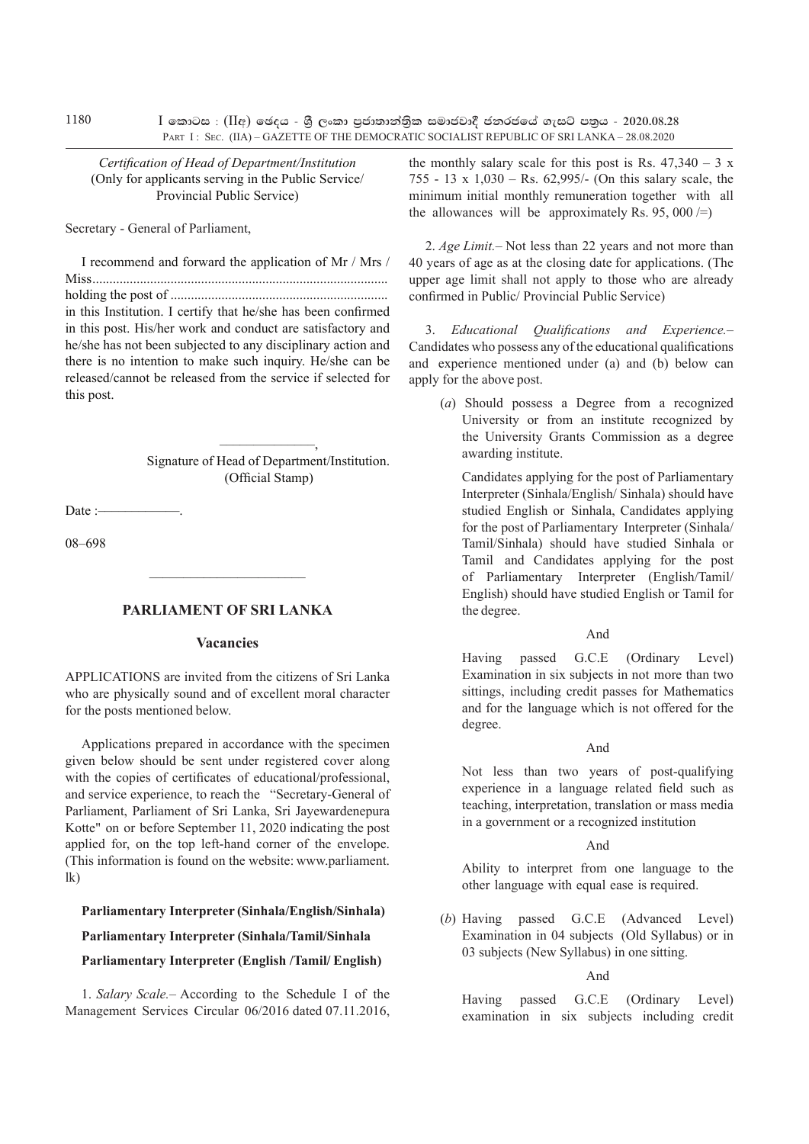*Certification of Head of Department/Institution*  (Only for applicants serving in the Public Service/ Provincial Public Service)

Secretary - General of Parliament,

I recommend and forward the application of Mr / Mrs / Miss....................................................................................... holding the post of ................................................................ in this Institution. I certify that he/she has been confirmed

in this post. His/her work and conduct are satisfactory and he/she has not been subjected to any disciplinary action and there is no intention to make such inquiry. He/she can be released/cannot be released from the service if selected for this post.

> ––––––––––––––, Signature of Head of Department/Institution. (Official Stamp)

Date :-

08–698

### **Parliament of Sri Lanka**

–––––––––––––––––––––––

### **Vacancies**

Applications are invited from the citizens of Sri Lanka who are physically sound and of excellent moral character for the posts mentioned below.

Applications prepared in accordance with the specimen given below should be sent under registered cover along with the copies of certificates of educational/professional, and service experience, to reach the "Secretary-General of Parliament, Parliament of Sri Lanka, Sri Jayewardenepura Kotte" on or before September 11, 2020 indicating the post applied for, on the top left-hand corner of the envelope. (This information is found on the website: www.parliament.  $lk$ 

**Parliamentary Interpreter (Sinhala/English/Sinhala)**

### **Parliamentary Interpreter (Sinhala/Tamil/Sinhala**

#### **Parliamentary Interpreter (English /Tamil/ English)**

1. *Salary Scale.*– According to the Schedule I of the Management Services Circular 06/2016 dated 07.11.2016, the monthly salary scale for this post is Rs.  $47,340 - 3 \text{ x}$ 755 - 13 x 1,030 – Rs. 62,995/- (On this salary scale, the minimum initial monthly remuneration together with all the allowances will be approximately Rs. 95, 000  $\neq$ )

2. *Age Limit.*– Not less than 22 years and not more than 40 years of age as at the closing date for applications. (The upper age limit shall not apply to those who are already confirmed in Public/ Provincial Public Service)

3. *Educational Qualifications and Experience.*– Candidates who possess any of the educational qualifications and experience mentioned under (a) and (b) below can apply for the above post.

(*a*) Should possess a Degree from a recognized University or from an institute recognized by the University Grants Commission as a degree awarding institute.

 Candidates applying for the post of Parliamentary Interpreter (Sinhala/English/ Sinhala) should have studied English or Sinhala, Candidates applying for the post of Parliamentary Interpreter (Sinhala/ Tamil/Sinhala) should have studied Sinhala or Tamil and Candidates applying for the post of Parliamentary Interpreter (English/Tamil/ English) should have studied English or Tamil for the degree.

### And

Having passed G.C.E (Ordinary Level) Examination in six subjects in not more than two sittings, including credit passes for Mathematics and for the language which is not offered for the degree.

#### And

Not less than two years of post-qualifying experience in a language related field such as teaching, interpretation, translation or mass media in a government or a recognized institution

#### And

 Ability to interpret from one language to the other language with equal ease is required.

(*b*) Having passed G.C.E (Advanced Level) Examination in 04 subjects (Old Syllabus) or in 03 subjects (New Syllabus) in one sitting.

### And

Having passed G.C.E (Ordinary Level) examination in six subjects including credit

1180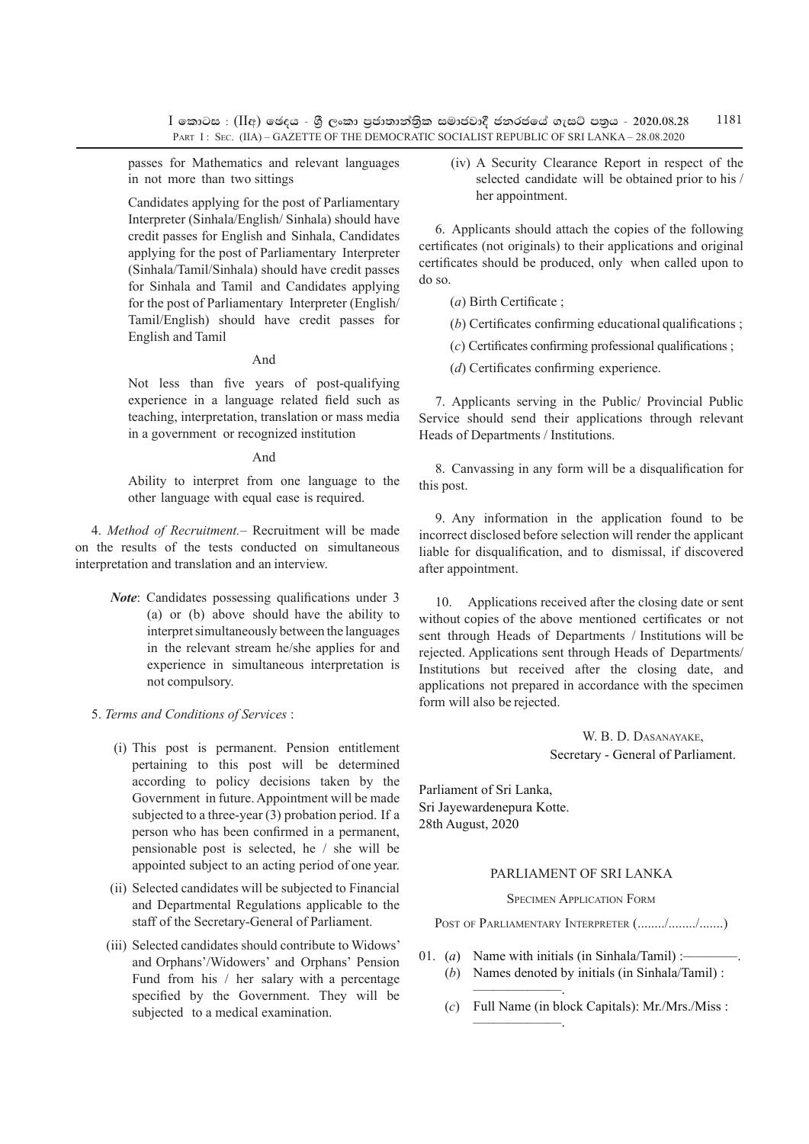$I$  කොටස : (IIඅ) ඡෙදය - ශී ලංකා පුජාතාන්තික සමාජවාදී ජනරජයේ ගැසට් පතුය - 2020.08.28 PART I : SEC. (IIA) – GAZETTE OF THE DEMOCRATIC SOCIALIST REPUBLIC OF SRI LANKA – 28.08.2020 1181

passes for Mathematics and relevant languages in not more than two sittings

 Candidates applying for the post of Parliamentary Interpreter (Sinhala/English/ Sinhala) should have credit passes for English and Sinhala, Candidates applying for the post of Parliamentary Interpreter (Sinhala/Tamil/Sinhala) should have credit passes for Sinhala and Tamil and Candidates applying for the post of Parliamentary Interpreter (English/ Tamil/English) should have credit passes for English and Tamil

#### And

Not less than five years of post-qualifying experience in a language related field such as teaching, interpretation, translation or mass media in a government or recognized institution

#### And

 Ability to interpret from one language to the other language with equal ease is required.

4. *Method of Recruitment.*– Recruitment will be made on the results of the tests conducted on simultaneous interpretation and translation and an interview.

> *Note*: Candidates possessing qualifications under 3 (a) or (b) above should have the ability to interpret simultaneously between the languages in the relevant stream he/she applies for and experience in simultaneous interpretation is not compulsory.

#### 5. *Terms and Conditions of Services* :

- (i) This post is permanent. Pension entitlement pertaining to this post will be determined according to policy decisions taken by the Government in future. Appointment will be made subjected to a three-year (3) probation period. If a person who has been confirmed in a permanent, pensionable post is selected, he / she will be appointed subject to an acting period of one year.
- (ii) Selected candidates will be subjected to Financial and Departmental Regulations applicable to the staff of the Secretary-General of Parliament.
- (iii) Selected candidates should contribute to Widows' and Orphans'/Widowers' and Orphans' Pension Fund from his / her salary with a percentage specified by the Government. They will be subjected to a medical examination.

(iv) A Security Clearance Report in respect of the selected candidate will be obtained prior to his / her appointment.

6. Applicants should attach the copies of the following certificates (not originals) to their applications and original certificates should be produced, only when called upon to do so.

(*a*) Birth Certificate ;

(*b*) Certificates confirming educational qualifications ;

(*c*) Certificates confirming professional qualifications ;

(*d*) Certificates confirming experience.

7. Applicants serving in the Public/ Provincial Public Service should send their applications through relevant Heads of Departments / Institutions.

8. Canvassing in any form will be a disqualification for this post.

9. Any information in the application found to be incorrect disclosed before selection will render the applicant liable for disqualification, and to dismissal, if discovered after appointment.

10. Applications received after the closing date or sent without copies of the above mentioned certificates or not sent through Heads of Departments / Institutions will be rejected. Applications sent through Heads of Departments/ Institutions but received after the closing date, and applications not prepared in accordance with the specimen form will also be rejected.

> W. B. D. Dasanayake, Secretary - General of Parliament.

Parliament of Sri Lanka, Sri Jayewardenepura Kotte. 28th August, 2020

–––––––––––––.

–––––––––––––.

### PARLIAMENT OF SRI LANKA

#### Specimen Application Form

POST OF PARLIAMENTARY INTERPRETER (......../......../.......)

- 01. (*a*) Name with initials (in Sinhala/Tamil) :— (*b*) Names denoted by initials (in Sinhala/Tamil) :
	- (*c*) Full Name (in block Capitals): Mr./Mrs./Miss :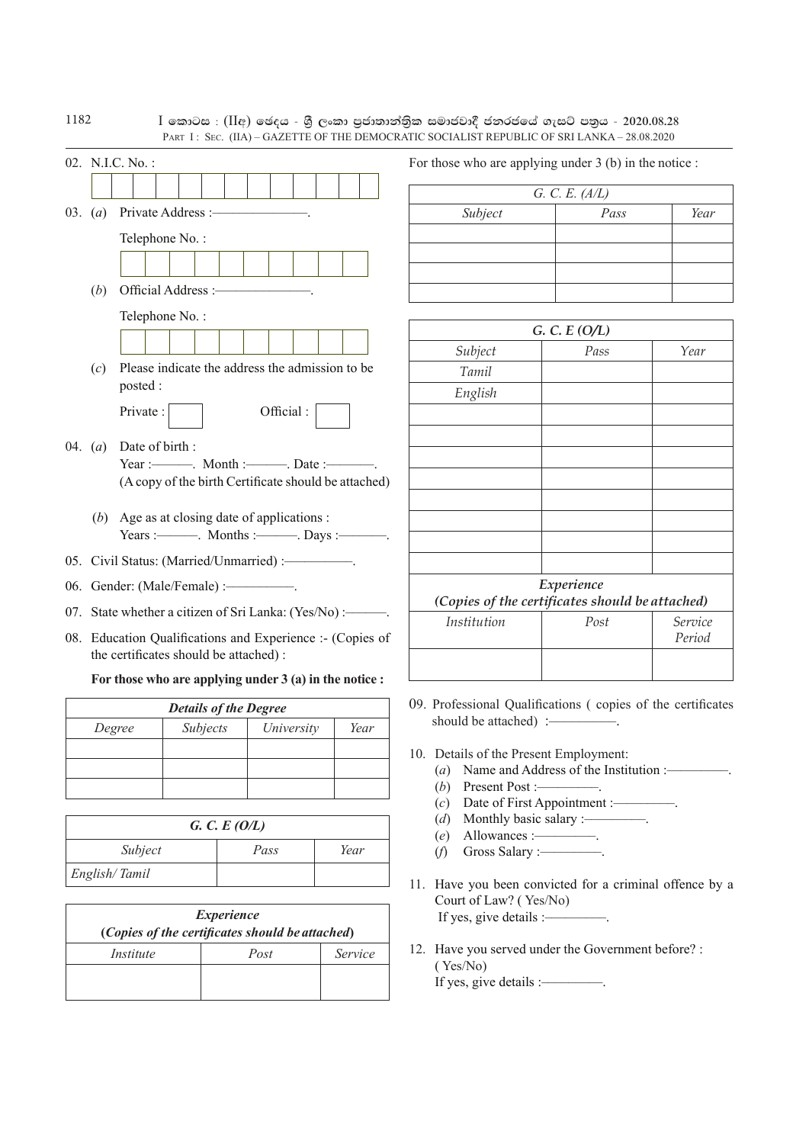|  |                                                           |                 |                                           |                                                            |  |                                                     | PART I: SEC. (IIA) - GAZETTE OF THE DEMOCRATIC SOCIALIST REPUBLIC OF SRI LANKA - 28.08.2020 |                 |  |
|--|-----------------------------------------------------------|-----------------|-------------------------------------------|------------------------------------------------------------|--|-----------------------------------------------------|---------------------------------------------------------------------------------------------|-----------------|--|
|  |                                                           | 02. N.I.C. No.: |                                           |                                                            |  | For those who are applying under $3$ (b) in the not |                                                                                             |                 |  |
|  |                                                           |                 |                                           |                                                            |  |                                                     | G. C. E. $(A/L)$                                                                            |                 |  |
|  | 03. $(a)$                                                 |                 | Private Address :-                        |                                                            |  | Subject                                             | Pass                                                                                        |                 |  |
|  |                                                           |                 | Telephone No.:                            |                                                            |  |                                                     |                                                                                             |                 |  |
|  |                                                           |                 |                                           |                                                            |  |                                                     |                                                                                             |                 |  |
|  |                                                           |                 |                                           |                                                            |  |                                                     |                                                                                             |                 |  |
|  | (b)                                                       |                 | Official Address :-                       |                                                            |  |                                                     |                                                                                             |                 |  |
|  |                                                           |                 | Telephone No.:                            |                                                            |  |                                                     |                                                                                             | G. C. E $(O/L)$ |  |
|  |                                                           |                 |                                           |                                                            |  |                                                     | Subject                                                                                     | Pass            |  |
|  | (c)                                                       |                 |                                           | Please indicate the address the admission to be            |  | Tamil                                               |                                                                                             |                 |  |
|  |                                                           | posted:         |                                           |                                                            |  | English                                             |                                                                                             |                 |  |
|  |                                                           | Private:        |                                           | Official:                                                  |  |                                                     |                                                                                             |                 |  |
|  | Date of birth:                                            |                 |                                           |                                                            |  |                                                     |                                                                                             |                 |  |
|  | 04. $(a)$                                                 |                 |                                           | Year :---------. Month :----------. Date :------------     |  |                                                     |                                                                                             |                 |  |
|  |                                                           |                 |                                           | (A copy of the birth Certificate should be attached)       |  |                                                     |                                                                                             |                 |  |
|  |                                                           |                 |                                           |                                                            |  |                                                     |                                                                                             |                 |  |
|  | (b)                                                       |                 |                                           | Age as at closing date of applications :                   |  |                                                     |                                                                                             |                 |  |
|  |                                                           |                 |                                           | Years :---------. Months :----------. Days :-----------.   |  |                                                     |                                                                                             |                 |  |
|  |                                                           |                 |                                           | 05. Civil Status: (Married/Unmarried) :--------------      |  |                                                     |                                                                                             |                 |  |
|  |                                                           |                 | 06. Gender: (Male/Female) :-------------- |                                                            |  |                                                     | (Copies of the certificates should be atta                                                  | Experience      |  |
|  |                                                           |                 |                                           | 07. State whether a citizen of Sri Lanka: (Yes/No) :------ |  |                                                     | Institution                                                                                 | Post            |  |
|  | 08. Education Qualifications and Experience :- (Copies of |                 |                                           |                                                            |  |                                                     |                                                                                             |                 |  |
|  |                                                           |                 | the certificates should be attached):     |                                                            |  |                                                     |                                                                                             |                 |  |
|  |                                                           |                 |                                           | For those who are applying under $3$ (a) in the notice :   |  |                                                     |                                                                                             |                 |  |
|  |                                                           |                 | <b>Details of the Degree</b>              |                                                            |  |                                                     | 09. Professional Qualifications (copies of the                                              |                 |  |
|  | Subjects<br>Degree<br>University<br>Year                  |                 |                                           |                                                            |  |                                                     | should be attached) :-                                                                      |                 |  |
|  |                                                           |                 |                                           |                                                            |  |                                                     | 10. Details of the Present Employment:                                                      |                 |  |
|  |                                                           |                 |                                           |                                                            |  |                                                     |                                                                                             |                 |  |

*G. C. E (O/L) Subject Pass Year English/ Tamil*

| <i>Experience</i>                               |      |         |  |  |  |
|-------------------------------------------------|------|---------|--|--|--|
| (Copies of the certificates should be attached) |      |         |  |  |  |
| Institute                                       | Post | Service |  |  |  |
|                                                 |      |         |  |  |  |
|                                                 |      |         |  |  |  |

who are applying under  $3$  (b) in the notice :

I කොටස : (IIඅ) ජෙදය - ශුී ලංකා පුජාතාන්තිුක සමාජවාදී ජනරජයේ ගැසට් පතුය - 2020.08.28

| G. C. E. $(A/L)$ |      |      |  |  |  |  |
|------------------|------|------|--|--|--|--|
| Subject          | Pass | Year |  |  |  |  |
|                  |      |      |  |  |  |  |
|                  |      |      |  |  |  |  |
|                  |      |      |  |  |  |  |
|                  |      |      |  |  |  |  |

| G. C. E (O/L)                                   |            |                   |  |  |  |  |
|-------------------------------------------------|------------|-------------------|--|--|--|--|
| Subject                                         | Pass       | Year              |  |  |  |  |
| Tamil                                           |            |                   |  |  |  |  |
| English                                         |            |                   |  |  |  |  |
|                                                 |            |                   |  |  |  |  |
|                                                 |            |                   |  |  |  |  |
|                                                 |            |                   |  |  |  |  |
|                                                 |            |                   |  |  |  |  |
|                                                 |            |                   |  |  |  |  |
|                                                 |            |                   |  |  |  |  |
|                                                 |            |                   |  |  |  |  |
|                                                 |            |                   |  |  |  |  |
|                                                 | Experience |                   |  |  |  |  |
| (Copies of the certificates should be attached) |            |                   |  |  |  |  |
| Institution                                     | Post       | Service<br>Period |  |  |  |  |
|                                                 |            |                   |  |  |  |  |

- sional Qualifications ( copies of the certificates should be attached) :–––––––––.
- s of the Present Employment:
	- (*a*) Name and Address of the Institution :–––––––––.
	- (*b*) Present Post :–––––––––.
	- (*c*) Date of First Appointment :–––––––––.
	- (*d*) Monthly basic salary :–––––––––.
	- (*e*) Allowances :–––––––––.
	- (*f*) Gross Salary :–––––––––.
- 11. Have you been convicted for a criminal offence by a Court of Law? ( Yes/No) If yes, give details :–––––––––.
- 12. Have you served under the Government before? : ( Yes/No) If yes, give details :–––––––––.

1182